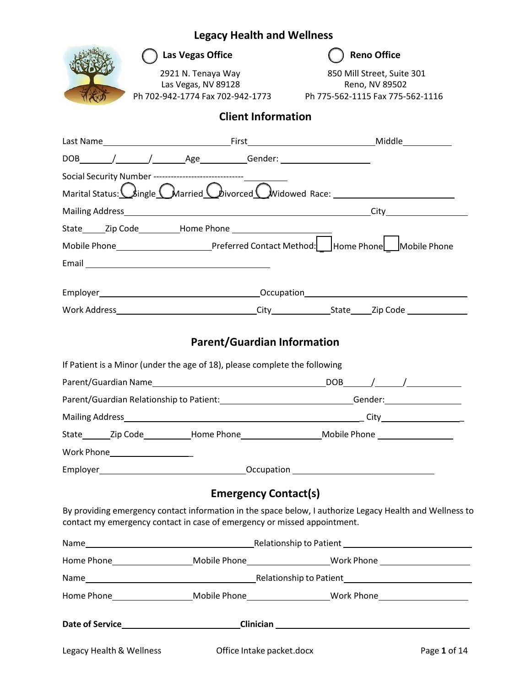

as Vegas Office **Reno Office Reno Office** 

Las Vegas, NV 89128 **Reno, NV 89502** Ph 702‐942‐1774 Fax 702‐942‐1773 Ph 775-562-1115 Fax 775-562-1116

2921 N. Tenaya Way 850 Mill Street, Suite 301

### **Client Information**

| Social Security Number ----------------------------------                  |                                    |                                                                                                                                                                                      |
|----------------------------------------------------------------------------|------------------------------------|--------------------------------------------------------------------------------------------------------------------------------------------------------------------------------------|
|                                                                            |                                    | Marital Status: Congle CMarried Coivorced C Widowed Race:                                                                                                                            |
|                                                                            |                                    |                                                                                                                                                                                      |
|                                                                            |                                    |                                                                                                                                                                                      |
|                                                                            |                                    | Mobile Phone___________________________________Preferred Contact Method: Home Phone Phone Mobile Phone                                                                               |
|                                                                            |                                    |                                                                                                                                                                                      |
|                                                                            |                                    |                                                                                                                                                                                      |
|                                                                            |                                    |                                                                                                                                                                                      |
|                                                                            |                                    |                                                                                                                                                                                      |
|                                                                            | <b>Parent/Guardian Information</b> |                                                                                                                                                                                      |
| If Patient is a Minor (under the age of 18), please complete the following |                                    |                                                                                                                                                                                      |
|                                                                            |                                    |                                                                                                                                                                                      |
|                                                                            |                                    | Parent/Guardian Relationship to Patient: _____________________________Gender: _____________________                                                                                  |
|                                                                            |                                    |                                                                                                                                                                                      |
|                                                                            |                                    | State________Zip Code_____________Home Phone_______________________Mobile Phone ___________________                                                                                  |
| Work Phone____________________                                             |                                    |                                                                                                                                                                                      |
|                                                                            |                                    |                                                                                                                                                                                      |
|                                                                            |                                    |                                                                                                                                                                                      |
|                                                                            | <b>Emergency Contact(s)</b>        |                                                                                                                                                                                      |
|                                                                            |                                    | By providing emergency contact information in the space below, I authorize Legacy Health and Wellness to<br>contact my emergency contact in case of emergency or missed appointment. |
|                                                                            |                                    |                                                                                                                                                                                      |
|                                                                            |                                    | Home Phone_______________________Mobile Phone_______________________Work Phone _____________________                                                                                 |
|                                                                            |                                    |                                                                                                                                                                                      |
|                                                                            |                                    | Home Phone______________________Mobile Phone_____________________Work Phone________________________                                                                                  |
|                                                                            |                                    |                                                                                                                                                                                      |
| Legacy Health & Wellness                                                   | Office Intake packet.docx          | Page 1 of 14                                                                                                                                                                         |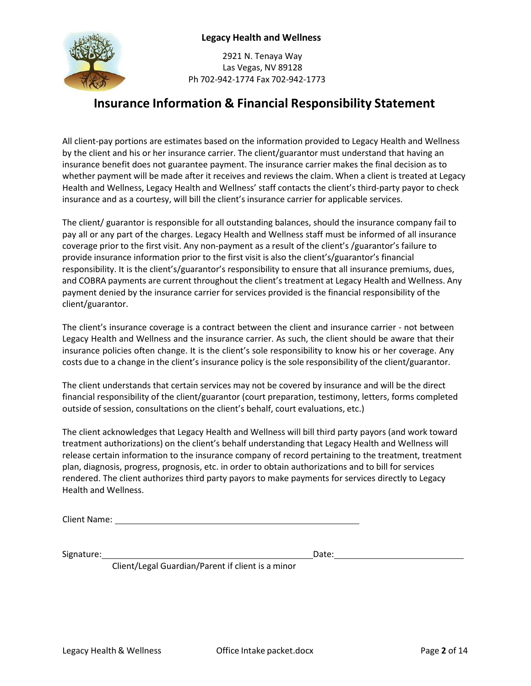

2921 N. Tenaya Way Las Vegas, NV 89128 Ph 702‐942‐1774 Fax 702‐942‐1773

### **Insurance Information & Financial Responsibility Statement**

All client‐pay portions are estimates based on the information provided to Legacy Health and Wellness by the client and his or her insurance carrier. The client/guarantor must understand that having an insurance benefit does not guarantee payment. The insurance carrier makes the final decision as to whether payment will be made after it receives and reviews the claim. When a client is treated at Legacy Health and Wellness, Legacy Health and Wellness' staff contacts the client's third‐party payor to check insurance and as a courtesy, will bill the client's insurance carrier for applicable services.

The client/ guarantor is responsible for all outstanding balances, should the insurance company fail to pay all or any part of the charges. Legacy Health and Wellness staff must be informed of all insurance coverage prior to the first visit. Any non-payment as a result of the client's /guarantor's failure to provide insurance information prior to the first visit is also the client's/guarantor's financial responsibility. It is the client's/guarantor's responsibility to ensure that all insurance premiums, dues, and COBRA payments are current throughout the client's treatment at Legacy Health and Wellness. Any payment denied by the insurance carrier for services provided is the financial responsibility of the client/guarantor.

The client's insurance coverage is a contract between the client and insurance carrier ‐ not between Legacy Health and Wellness and the insurance carrier. As such, the client should be aware that their insurance policies often change. It is the client's sole responsibility to know his or her coverage. Any costs due to a change in the client's insurance policy is the sole responsibility of the client/guarantor.

The client understands that certain services may not be covered by insurance and will be the direct financial responsibility of the client/guarantor (court preparation, testimony, letters, forms completed outside of session, consultations on the client's behalf, court evaluations, etc.)

The client acknowledges that Legacy Health and Wellness will bill third party payors (and work toward treatment authorizations) on the client's behalf understanding that Legacy Health and Wellness will release certain information to the insurance company of record pertaining to the treatment, treatment plan, diagnosis, progress, prognosis, etc. in order to obtain authorizations and to bill for services rendered. The client authorizes third party payors to make payments for services directly to Legacy Health and Wellness.

Client Name:

Signature: Date: Date: Date: Date: Date: Date: Date: Date: Date: Date: Date: Date: Date: Date: Date: Date: Date: Date: Date: Date: Date: Date: Date: Date: Date: Date: Date: Date: Date: Date: Date: Date: Date: Date: Date: D

Client/Legal Guardian/Parent if client is a minor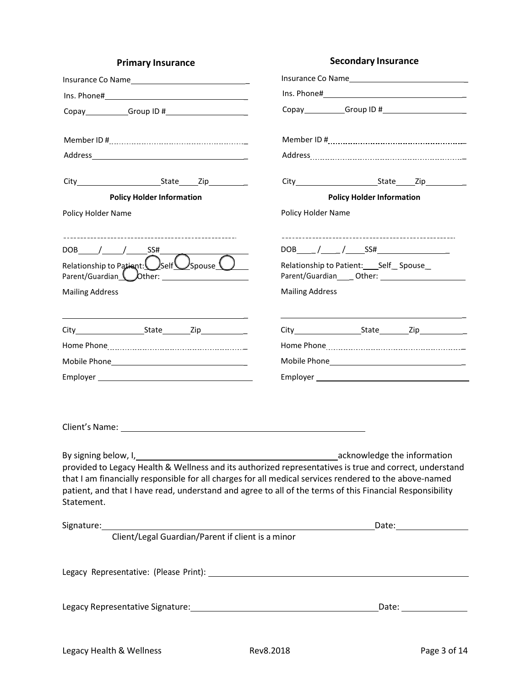| <b>Primary Insurance</b>                                                                                                                                                                                                                                                                                                                                                                                                           | <b>Secondary Insurance</b>                    |  |
|------------------------------------------------------------------------------------------------------------------------------------------------------------------------------------------------------------------------------------------------------------------------------------------------------------------------------------------------------------------------------------------------------------------------------------|-----------------------------------------------|--|
|                                                                                                                                                                                                                                                                                                                                                                                                                                    |                                               |  |
|                                                                                                                                                                                                                                                                                                                                                                                                                                    |                                               |  |
|                                                                                                                                                                                                                                                                                                                                                                                                                                    |                                               |  |
|                                                                                                                                                                                                                                                                                                                                                                                                                                    |                                               |  |
|                                                                                                                                                                                                                                                                                                                                                                                                                                    |                                               |  |
|                                                                                                                                                                                                                                                                                                                                                                                                                                    |                                               |  |
| <b>Policy Holder Information</b>                                                                                                                                                                                                                                                                                                                                                                                                   | <b>Policy Holder Information</b>              |  |
| Policy Holder Name                                                                                                                                                                                                                                                                                                                                                                                                                 | Policy Holder Name                            |  |
| $DOB$ / / SS#                                                                                                                                                                                                                                                                                                                                                                                                                      |                                               |  |
| Relationship to Patient: $\bigcirc$ Self $\bigcirc$ Spouse $\bigcirc$<br>Parent/Guardian <b>U</b> Other: 1997                                                                                                                                                                                                                                                                                                                      | Relationship to Patient: ____ Self__ Spouse__ |  |
| <b>Mailing Address</b>                                                                                                                                                                                                                                                                                                                                                                                                             | <b>Mailing Address</b>                        |  |
| <u> 1989 - Johann Stein, mars an de Britannich (b. 1989)</u>                                                                                                                                                                                                                                                                                                                                                                       |                                               |  |
|                                                                                                                                                                                                                                                                                                                                                                                                                                    |                                               |  |
|                                                                                                                                                                                                                                                                                                                                                                                                                                    |                                               |  |
|                                                                                                                                                                                                                                                                                                                                                                                                                                    |                                               |  |
|                                                                                                                                                                                                                                                                                                                                                                                                                                    |                                               |  |
| Client's Name: 1988 Client Communication of the Client's Name:                                                                                                                                                                                                                                                                                                                                                                     |                                               |  |
| By signing below, I, 1. 2008 and 2009 and 2009 and 2009 acknowledge the information<br>provided to Legacy Health & Wellness and its authorized representatives is true and correct, understand<br>that I am financially responsible for all charges for all medical services rendered to the above-named<br>patient, and that I have read, understand and agree to all of the terms of this Financial Responsibility<br>Statement. |                                               |  |
|                                                                                                                                                                                                                                                                                                                                                                                                                                    |                                               |  |
|                                                                                                                                                                                                                                                                                                                                                                                                                                    |                                               |  |
|                                                                                                                                                                                                                                                                                                                                                                                                                                    |                                               |  |
|                                                                                                                                                                                                                                                                                                                                                                                                                                    |                                               |  |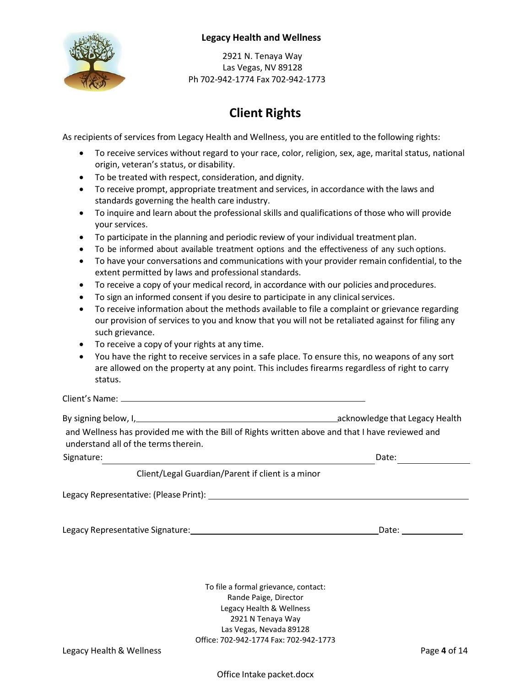

2921 N. Tenaya Way Las Vegas, NV 89128 Ph 702‐942‐1774 Fax 702‐942‐1773

## **Client Rights**

As recipients of services from Legacy Health and Wellness, you are entitled to the following rights:

- To receive services without regard to your race, color, religion, sex, age, marital status, national origin, veteran's status, or disability.
- To be treated with respect, consideration, and dignity.
- To receive prompt, appropriate treatment and services, in accordance with the laws and standards governing the health care industry.
- To inquire and learn about the professional skills and qualifications of those who will provide your services.
- To participate in the planning and periodic review of your individual treatment plan.
- To be informed about available treatment options and the effectiveness of any such options.
- To have your conversations and communications with your provider remain confidential, to the extent permitted by laws and professional standards.
- To receive a copy of your medical record, in accordance with our policies and procedures.
- To sign an informed consent if you desire to participate in any clinical services.
- To receive information about the methods available to file a complaint or grievance regarding our provision of services to you and know that you will not be retaliated against for filing any such grievance.
- To receive a copy of your rights at any time.
- You have the right to receive services in a safe place. To ensure this, no weapons of any sort are allowed on the property at any point. This includes firearms regardless of right to carry status.

Client's Name:

By signing below, I, acknowledge that Legacy Health

and Wellness has provided me with the Bill of Rights written above and that I have reviewed and understand all of the terms therein.

Signature: Date: Date: Date: Date: Date: Date: Date: Date: Date: Date: Date: Date: Date: Date: Date: Date: Date: Date: Date: Date: Date: Date: Date: Date: Date: Date: Date: Date: Date: Date: Date: Date: Date: Date: Date: D

Client/Legal Guardian/Parent if client is a minor

Legacy Representative: (Please Print):

Legacy Representative Signature: Date:

To file a formal grievance, contact: Rande Paige, Director Legacy Health & Wellness 2921 N Tenaya Way Las Vegas, Nevada 89128 Office: 702‐942‐1774 Fax: 702‐942‐1773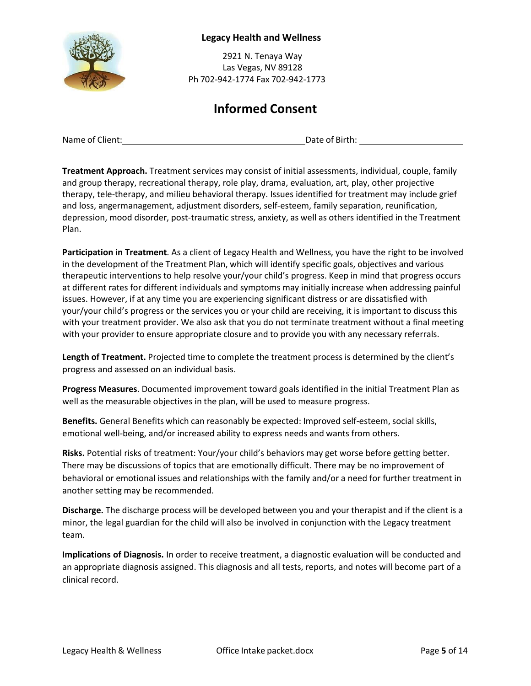

2921 N. Tenaya Way Las Vegas, NV 89128 Ph 702‐942‐1774 Fax 702‐942‐1773

### **Informed Consent**

Name of Client: <u>Date of Birth:</u> Date of Birth:

**Treatment Approach.** Treatment services may consist of initial assessments, individual, couple, family and group therapy, recreational therapy, role play, drama, evaluation, art, play, other projective therapy, tele‐therapy, and milieu behavioral therapy. Issues identified for treatment may include grief and loss, angermanagement, adjustment disorders, self‐esteem, family separation, reunification, depression, mood disorder, post‐traumatic stress, anxiety, as well as others identified in the Treatment Plan.

**Participation in Treatment**. As a client of Legacy Health and Wellness, you have the right to be involved in the development of the Treatment Plan, which will identify specific goals, objectives and various therapeutic interventions to help resolve your/your child's progress. Keep in mind that progress occurs at different rates for different individuals and symptoms may initially increase when addressing painful issues. However, if at any time you are experiencing significant distress or are dissatisfied with your/your child's progress or the services you or your child are receiving, it is important to discuss this with your treatment provider. We also ask that you do not terminate treatment without a final meeting with your provider to ensure appropriate closure and to provide you with any necessary referrals.

**Length of Treatment.** Projected time to complete the treatment process is determined by the client's progress and assessed on an individual basis.

**Progress Measures**. Documented improvement toward goals identified in the initial Treatment Plan as well as the measurable objectives in the plan, will be used to measure progress.

**Benefits.** General Benefits which can reasonably be expected: Improved self‐esteem, social skills, emotional well‐being, and/or increased ability to express needs and wants from others.

**Risks.** Potential risks of treatment: Your/your child's behaviors may get worse before getting better. There may be discussions of topics that are emotionally difficult. There may be no improvement of behavioral or emotional issues and relationships with the family and/or a need for further treatment in another setting may be recommended.

**Discharge.** The discharge process will be developed between you and your therapist and if the client is a minor, the legal guardian for the child will also be involved in conjunction with the Legacy treatment team.

**Implications of Diagnosis.** In order to receive treatment, a diagnostic evaluation will be conducted and an appropriate diagnosis assigned. This diagnosis and all tests, reports, and notes will become part of a clinical record.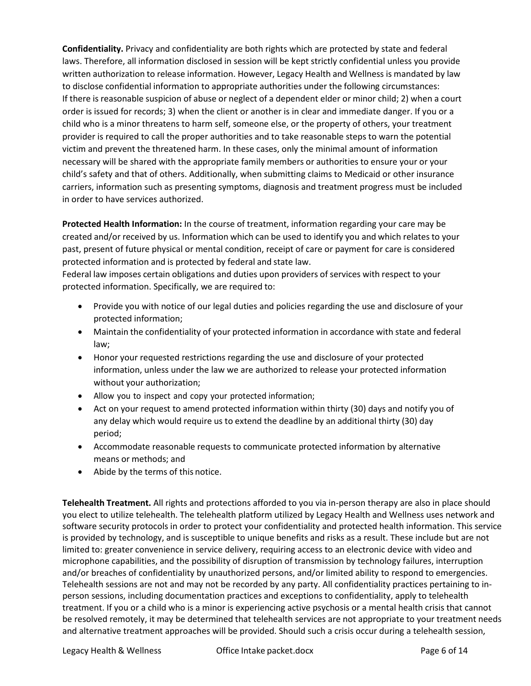**Confidentiality.** Privacy and confidentiality are both rights which are protected by state and federal laws. Therefore, all information disclosed in session will be kept strictly confidential unless you provide written authorization to release information. However, Legacy Health and Wellness is mandated by law to disclose confidential information to appropriate authorities under the following circumstances: If there is reasonable suspicion of abuse or neglect of a dependent elder or minor child; 2) when a court order is issued for records; 3) when the client or another is in clear and immediate danger. If you or a child who is a minor threatens to harm self, someone else, or the property of others, your treatment provider is required to call the proper authorities and to take reasonable steps to warn the potential victim and prevent the threatened harm. In these cases, only the minimal amount of information necessary will be shared with the appropriate family members or authorities to ensure your or your child's safety and that of others. Additionally, when submitting claims to Medicaid or other insurance carriers, information such as presenting symptoms, diagnosis and treatment progress must be included in order to have services authorized.

**Protected Health Information:** In the course of treatment, information regarding your care may be created and/or received by us. Information which can be used to identify you and which relates to your past, present of future physical or mental condition, receipt of care or payment for care is considered protected information and is protected by federal and state law.

Federal law imposes certain obligations and duties upon providers of services with respect to your protected information. Specifically, we are required to:

- Provide you with notice of our legal duties and policies regarding the use and disclosure of your protected information;
- Maintain the confidentiality of your protected information in accordance with state and federal law;
- Honor your requested restrictions regarding the use and disclosure of your protected information, unless under the law we are authorized to release your protected information without your authorization;
- Allow you to inspect and copy your protected information;
- Act on your request to amend protected information within thirty (30) days and notify you of any delay which would require us to extend the deadline by an additional thirty (30) day period;
- Accommodate reasonable requests to communicate protected information by alternative means or methods; and
- Abide by the terms of this notice.

**Telehealth Treatment.** All rights and protections afforded to you via in-person therapy are also in place should you elect to utilize telehealth. The telehealth platform utilized by Legacy Health and Wellness uses network and software security protocols in order to protect your confidentiality and protected health information. This service is provided by technology, and is susceptible to unique benefits and risks as a result. These include but are not limited to: greater convenience in service delivery, requiring access to an electronic device with video and microphone capabilities, and the possibility of disruption of transmission by technology failures, interruption and/or breaches of confidentiality by unauthorized persons, and/or limited ability to respond to emergencies. Telehealth sessions are not and may not be recorded by any party. All confidentiality practices pertaining to inperson sessions, including documentation practices and exceptions to confidentiality, apply to telehealth treatment. If you or a child who is a minor is experiencing active psychosis or a mental health crisis that cannot be resolved remotely, it may be determined that telehealth services are not appropriate to your treatment needs and alternative treatment approaches will be provided. Should such a crisis occur during a telehealth session,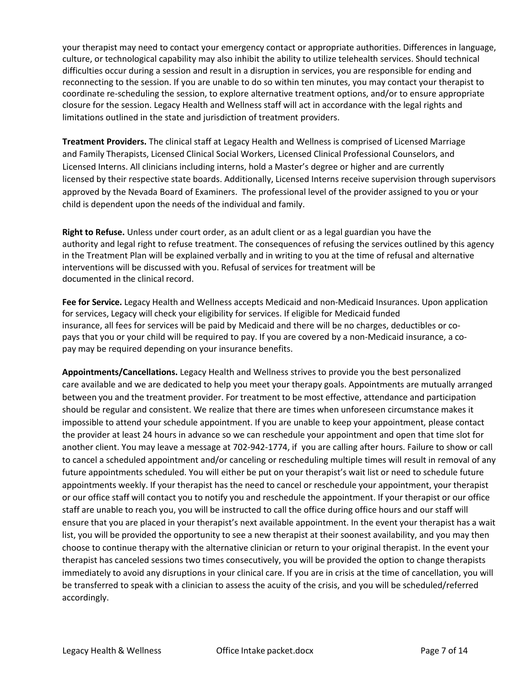your therapist may need to contact your emergency contact or appropriate authorities. Differences in language, culture, or technological capability may also inhibit the ability to utilize telehealth services. Should technical difficulties occur during a session and result in a disruption in services, you are responsible for ending and reconnecting to the session. If you are unable to do so within ten minutes, you may contact your therapist to coordinate re‐scheduling the session, to explore alternative treatment options, and/or to ensure appropriate closure for the session. Legacy Health and Wellness staff will act in accordance with the legal rights and limitations outlined in the state and jurisdiction of treatment providers.

**Treatment Providers.** The clinical staff at Legacy Health and Wellness is comprised of Licensed Marriage and Family Therapists, Licensed Clinical Social Workers, Licensed Clinical Professional Counselors, and Licensed Interns. All clinicians including interns, hold a Master's degree or higher and are currently licensed by their respective state boards. Additionally, Licensed Interns receive supervision through supervisors approved by the Nevada Board of Examiners. The professional level of the provider assigned to you or your child is dependent upon the needs of the individual and family.

**Right to Refuse.** Unless under court order, as an adult client or as a legal guardian you have the authority and legal right to refuse treatment. The consequences of refusing the services outlined by this agency in the Treatment Plan will be explained verbally and in writing to you at the time of refusal and alternative interventions will be discussed with you. Refusal of services for treatment will be documented in the clinical record.

**Fee for Service.** Legacy Health and Wellness accepts Medicaid and non‐Medicaid Insurances. Upon application for services, Legacy will check your eligibility for services. If eligible for Medicaid funded insurance, all fees for services will be paid by Medicaid and there will be no charges, deductibles or co‐ pays that you or your child will be required to pay. If you are covered by a non‐Medicaid insurance, a co‐ pay may be required depending on your insurance benefits.

**Appointments/Cancellations.** Legacy Health and Wellness strives to provide you the best personalized care available and we are dedicated to help you meet your therapy goals. Appointments are mutually arranged between you and the treatment provider. For treatment to be most effective, attendance and participation should be regular and consistent. We realize that there are times when unforeseen circumstance makes it impossible to attend your schedule appointment. If you are unable to keep your appointment, please contact the provider at least 24 hours in advance so we can reschedule your appointment and open that time slot for another client. You may leave a message at 702‐942‐1774, if you are calling after hours. Failure to show or call to cancel a scheduled appointment and/or canceling or rescheduling multiple times will result in removal of any future appointments scheduled. You will either be put on your therapist's wait list or need to schedule future appointments weekly. If your therapist has the need to cancel or reschedule your appointment, your therapist or our office staff will contact you to notify you and reschedule the appointment. If your therapist or our office staff are unable to reach you, you will be instructed to call the office during office hours and our staff will ensure that you are placed in your therapist's next available appointment. In the event your therapist has a wait list, you will be provided the opportunity to see a new therapist at their soonest availability, and you may then choose to continue therapy with the alternative clinician or return to your original therapist. In the event your therapist has canceled sessions two times consecutively, you will be provided the option to change therapists immediately to avoid any disruptions in your clinical care. If you are in crisis at the time of cancellation, you will be transferred to speak with a clinician to assess the acuity of the crisis, and you will be scheduled/referred accordingly.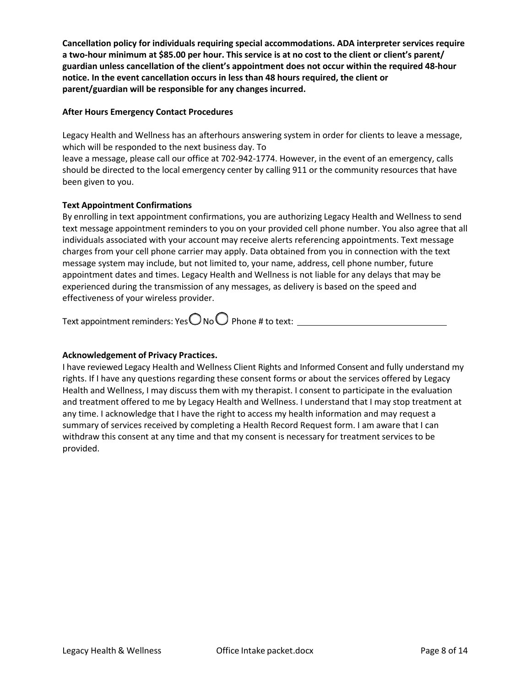**Cancellation policy for individuals requiring special accommodations. ADA interpreter services require a two-hour minimum at \$85.00 per hour. This service is at no cost to the client or client's parent/ guardian unless cancellation of the client's appointment does not occur within the required 48-hour notice. In the event cancellation occurs in less than 48 hours required, the client or parent/guardian will be responsible for any changes incurred.** 

#### **After Hours Emergency Contact Procedures**

Legacy Health and Wellness has an afterhours answering system in order for clients to leave a message, which will be responded to the next business day. To

leave a message, please call our office at 702-942-1774. However, in the event of an emergency, calls should be directed to the local emergency center by calling 911 or the community resources that have been given to you.

#### **Text Appointment Confirmations**

By enrolling in text appointment confirmations, you are authorizing Legacy Health and Wellness to send text message appointment reminders to you on your provided cell phone number. You also agree that all individuals associated with your account may receive alerts referencing appointments. Text message charges from your cell phone carrier may apply. Data obtained from you in connection with the text message system may include, but not limited to, your name, address, cell phone number, future appointment dates and times. Legacy Health and Wellness is not liable for any delays that may be experienced during the transmission of any messages, as delivery is based on the speed and effectiveness of your wireless provider.

Text appointment reminders: Yes $\bigcirc$  No  $\bigcirc$  Phone # to text:

#### **Acknowledgement of Privacy Practices.**

I have reviewed Legacy Health and Wellness Client Rights and Informed Consent and fully understand my rights. If I have any questions regarding these consent forms or about the services offered by Legacy Health and Wellness, I may discuss them with my therapist. I consent to participate in the evaluation and treatment offered to me by Legacy Health and Wellness. I understand that I may stop treatment at any time. I acknowledge that I have the right to access my health information and may request a summary of services received by completing a Health Record Request form. I am aware that I can withdraw this consent at any time and that my consent is necessary for treatment services to be provided.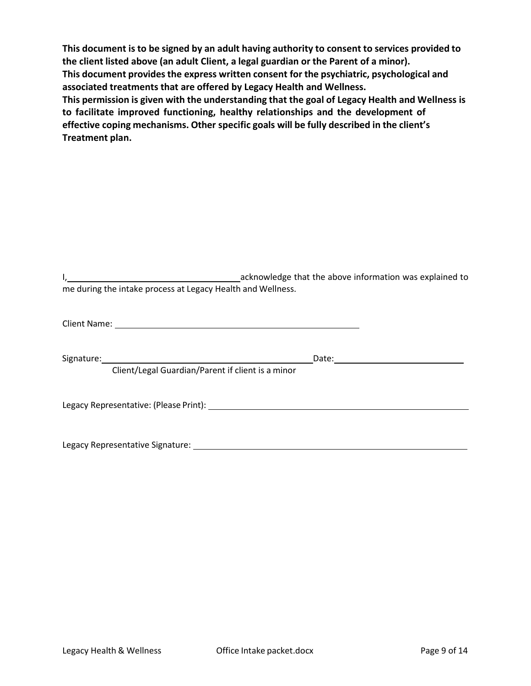**This document is to be signed by an adult having authority to consent to services provided to the client listed above (an adult Client, a legal guardian or the Parent of a minor). This document providesthe express written consent for the psychiatric, psychological and associated treatments that are offered by Legacy Health and Wellness. This permission is given with the understanding that the goal of Legacy Health and Wellness is to facilitate improved functioning, healthy relationships and the development of effective coping mechanisms. Other specific goals will be fully described in the client's Treatment plan.** 

|                                                             | acknowledge that the above information was explained to |  |
|-------------------------------------------------------------|---------------------------------------------------------|--|
| me during the intake process at Legacy Health and Wellness. |                                                         |  |

| Signature:                                                                                                                                                                                                                    | Date: _________________ |
|-------------------------------------------------------------------------------------------------------------------------------------------------------------------------------------------------------------------------------|-------------------------|
| Client/Legal Guardian/Parent if client is a minor                                                                                                                                                                             |                         |
| Legacy Representative: (Please Print): Note that the set of the set of the set of the set of the set of the set of the set of the set of the set of the set of the set of the set of the set of the set of the set of the set |                         |
| Legacy Representative Signature: 1986                                                                                                                                                                                         |                         |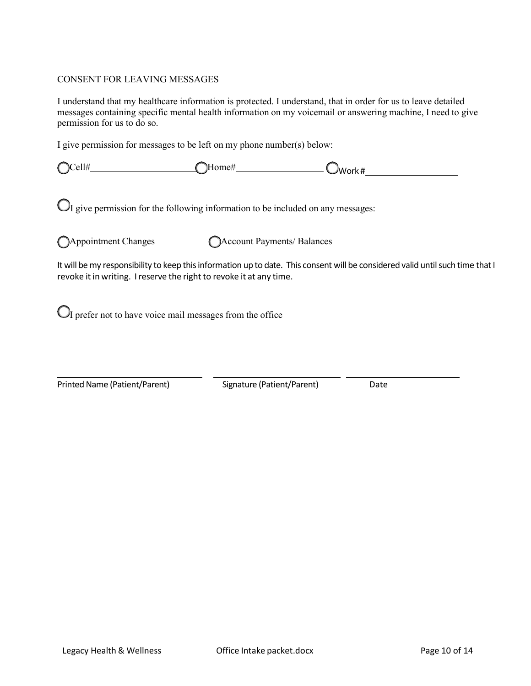#### CONSENT FOR LEAVING MESSAGES

I understand that my healthcare information is protected. I understand, that in order for us to leave detailed messages containing specific mental health information on my voicemail or answering machine, I need to give permission for us to do so.

I give permission for messages to be left on my phone number(s) below:

| $\bigcap$ Cell#<br>◡⊥⊥<br>∼ | 'ome# | - ∕Work # |
|-----------------------------|-------|-----------|
|                             |       |           |

 $\mathbb{O}_I$  give permission for the following information to be included on any messages:

◯Appointment Changes ◯Account Payments/ Balances

It will be my responsibility to keep this information up to date. This consent will be considered valid until such time that I revoke it in writing. I reserve the right to revoke it at any time.

 $\bigcirc$  prefer not to have voice mail messages from the office

Printed Name (Patient/Parent) Signature (Patient/Parent) Date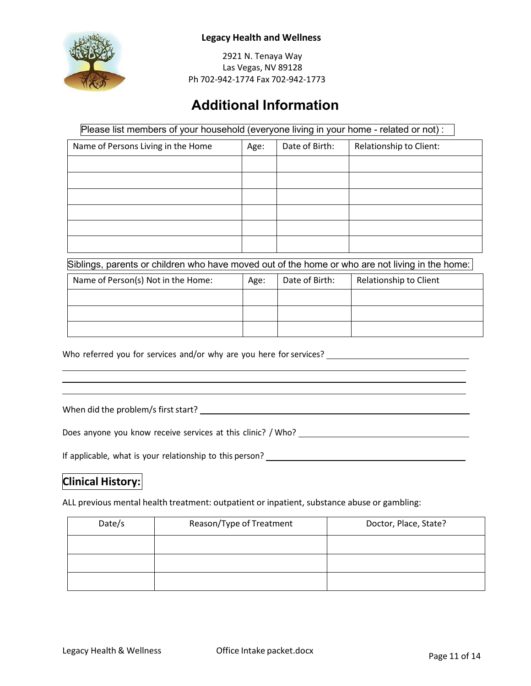

2921 N. Tenaya Way Las Vegas, NV 89128 Ph 702‐942‐1774 Fax 702‐942‐1773

# **Additional Information**

Please list members of your household (everyone living in your home - related or not) :

| Name of Persons Living in the Home | Age: | Date of Birth: | Relationship to Client: |
|------------------------------------|------|----------------|-------------------------|
|                                    |      |                |                         |
|                                    |      |                |                         |
|                                    |      |                |                         |
|                                    |      |                |                         |
|                                    |      |                |                         |
|                                    |      |                |                         |

Siblings, parents or children who have moved out of the home or who are not living in the home:

| Name of Person(s) Not in the Home: |  | Age: | Date of Birth: | Relationship to Client |
|------------------------------------|--|------|----------------|------------------------|
|                                    |  |      |                |                        |
|                                    |  |      |                |                        |
|                                    |  |      |                |                        |

Who referred you for services and/or why are you here for services?

When did the problem/s firststart?

Does anyone you know receive services at this clinic? / Who?

If applicable, what is your relationship to this person?

### **Clinical History:**

ALL previous mental health treatment: outpatient or inpatient, substance abuse or gambling:

| Date/s | Reason/Type of Treatment | Doctor, Place, State? |
|--------|--------------------------|-----------------------|
|        |                          |                       |
|        |                          |                       |
|        |                          |                       |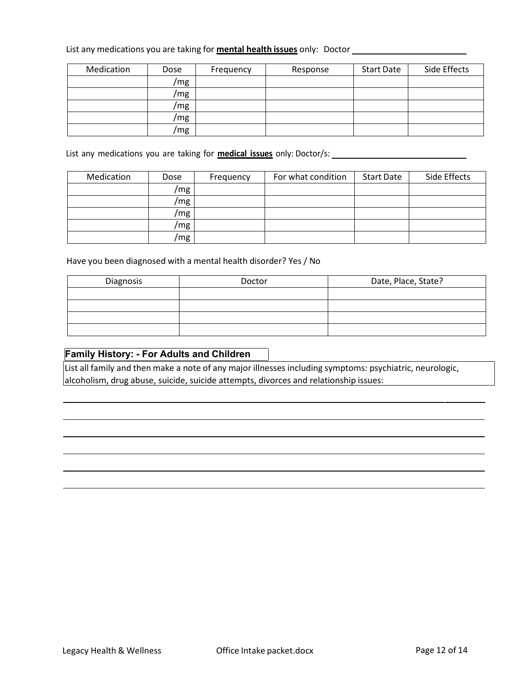#### List any medications you are taking for **mental health issues** only: Doctor

| Medication | Dose | Frequency | Response | <b>Start Date</b> | Side Effects |
|------------|------|-----------|----------|-------------------|--------------|
|            | /mg  |           |          |                   |              |
|            | /mg  |           |          |                   |              |
|            | /mg  |           |          |                   |              |
|            | /mg  |           |          |                   |              |
|            | /mg  |           |          |                   |              |

List any medications you are taking for **medical issues** only: Doctor/s:

| Medication | Dose | Frequency | For what condition | <b>Start Date</b> | Side Effects |
|------------|------|-----------|--------------------|-------------------|--------------|
|            | /mg  |           |                    |                   |              |
|            | /mg  |           |                    |                   |              |
|            | /mg  |           |                    |                   |              |
|            | /mg  |           |                    |                   |              |
|            | /mg  |           |                    |                   |              |

Have you been diagnosed with a mental health disorder? Yes / No

| Diagnosis | Doctor | Date, Place, State? |
|-----------|--------|---------------------|
|           |        |                     |
|           |        |                     |
|           |        |                     |
|           |        |                     |

#### **Family History: - For Adults and Children**

List all family and then make a note of any major illnesses including symptoms: psychiatric, neurologic, alcoholism, drug abuse, suicide, suicide attempts, divorces and relationship issues: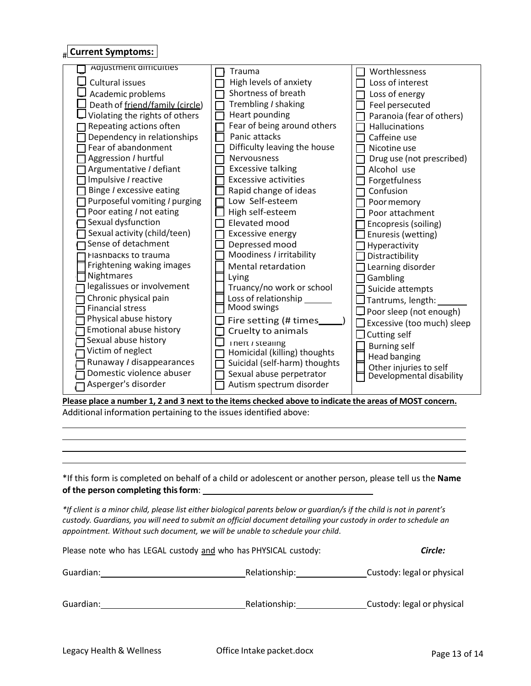# **Current Symptoms:**

| <b>Adjustment difficulties</b>  | Trauma                          | Worthlessness                                      |
|---------------------------------|---------------------------------|----------------------------------------------------|
| Cultural issues                 | High levels of anxiety          | Loss of interest                                   |
| Academic problems               | Shortness of breath             | Loss of energy                                     |
| Death of friend/family (circle) | Trembling / shaking             | Feel persecuted                                    |
| Violating the rights of others  | Heart pounding                  | Paranoia (fear of others)                          |
| Repeating actions often         | Fear of being around others     | Hallucinations                                     |
| Dependency in relationships     | Panic attacks                   | Caffeine use                                       |
| Fear of abandonment             | Difficulty leaving the house    | Nicotine use                                       |
| Aggression / hurtful            | <b>Nervousness</b>              | Drug use (not prescribed)                          |
| Argumentative / defiant         | <b>Excessive talking</b>        | Alcohol use                                        |
| Impulsive / reactive            | <b>Excessive activities</b>     | Forgetfulness                                      |
| Binge / excessive eating        | Rapid change of ideas           | Confusion                                          |
| Purposeful vomiting / purging   | Low Self-esteem                 | Poor memory                                        |
| Poor eating / not eating        | High self-esteem                | Poor attachment                                    |
| Sexual dysfunction              | Elevated mood                   | Encopresis (soiling)                               |
| Sexual activity (child/teen)    | <b>Excessive energy</b>         | Enuresis (wetting)                                 |
| Sense of detachment             | Depressed mood                  | $\exists$ Hyperactivity                            |
| <b>Hashbacks to trauma</b>      | Moodiness / irritability        | Distractibility                                    |
| Frightening waking images       | <b>Mental retardation</b>       | Learning disorder                                  |
| Nightmares                      | Lying                           | Gambling                                           |
| legalissues or involvement      | Truancy/no work or school       | Suicide attempts                                   |
| Chronic physical pain           | Loss of relationship            | Tantrums, length:                                  |
| <b>Financial stress</b>         | Mood swings                     | $\Box$ Poor sleep (not enough)                     |
| Physical abuse history          | Fire setting (# times           | $\Box$ Excessive (too much) sleep                  |
| Emotional abuse history         | Cruelty to animals              | $\Box$ Cutting self                                |
| Sexual abuse history            | <b>I</b> nert <i>I</i> stealing |                                                    |
| Victim of neglect               | Homicidal (killing) thoughts    | <b>Burning self</b>                                |
| Runaway / disappearances        | Suicidal (self-harm) thoughts   | <b>Head banging</b>                                |
| Domestic violence abuser        | Sexual abuse perpetrator        | Other injuries to self<br>Developmental disability |
| Asperger's disorder             | Autism spectrum disorder        |                                                    |
|                                 |                                 |                                                    |

**Please place a number 1, 2 and 3 next to the items checked above to indicate the areas of MOST concern.** Additional information pertaining to the issues identified above:

\*If this form is completed on behalf of a child or adolescent or another person, please tell us the **Name of the person completing thisform**:

*\*If client is a minor child, please list either biological parents below or guardian/s if the child is not in parent's* custody. Guardians, you will need to submit an official document detailing your custody in order to schedule an *appointment. Without such document, we will be unable to schedule your child*.

| Please note who has LEGAL custody and who has PHYSICAL custody: |               | Circle:                    |
|-----------------------------------------------------------------|---------------|----------------------------|
| Guardian:                                                       | Relationship: | Custody: legal or physical |
| Guardian:                                                       | Relationship: | Custody: legal or physical |